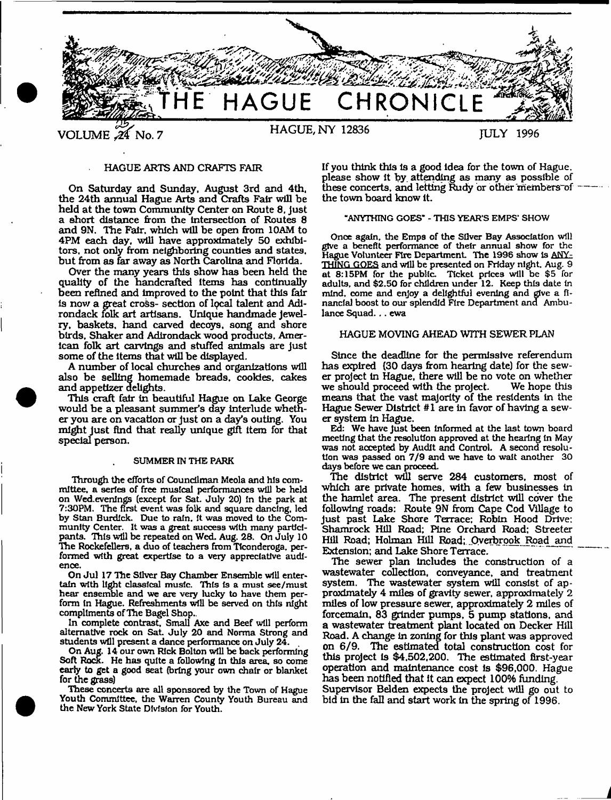

### HAGUE ARTS AND CRAFTS FAIR

On Saturday and Sunday. August 3rd and 4th. the 24th annual Hague Arts and Crafts Fair will be held at the town Community Center on Route 8, just a short distance from the Intersection of Routes 8 and 9N. The Fair, which will be open from 10AM to 4PM each day, will have approximately 50 exhibitors, not only from neighboring counties and states, but from as far away as North Carolina and Florida.

Over the many years this show has been held the quality of the handcrafted Items has continually been refined and improved to the point that this fair is now a great cross- section of local talent and Adirondack folk art artisans. Unique handmade jewelry, baskets, hand carved decays, song and shore birds. Shaker and Adirondack wood products, American folk art carvings and stuffed animals are just some of the items that will be displayed.

A number of local churches and organizations will also be selling homemade breads, cookies, cakes and appetizer delights.

This craft fair in beautiful Hague on Lake George would be a pleasant summer's day interlude whether you are on vacation or just on a day's outing. You might just find that really unique gift item for that special person.

#### SUMMER IN THE PARK

Through the efforts of Councilman Meola and his committee, a series of free musical performances will be held on Wed.evenlngs (except for SaL July 20) In the park at 7:30PM. The first event was folk and square dancing, led by Stan Burdick. Due to rain. It was moved to the Community Center. It was a great success with many participants. This will be repeated on Wed. Aug. 28. On July 10 The Rockefellers, a duo of teachers from Ttconderoga. performed with great expertise to a very appreciative audience.

On Jul 17 The Silver Bay Chamber Ensemble will entertain with light classical music. This is a must see/must hear ensemble and we are very lucky to have them perform In Hague. Refreshments will be served on this night compliments of The Bagel Shop..

In complete contrast. Small Axe and Beef will perform alternative rock on Sat. July 20 and Norma Strong and students will present a dance performance on July 24.

On Aug. 14 our own Rick Bolton will be back performing Soft Rock. He has quite a following In this area, so come early to get a good seat (bring your own chair or blanket for die grass)

These concerts are all sponsored by the Town of Hague Youth Committee, the Warren County Youth Bureau and the New York State Division for Youth.

If you think this Is a good idea for the town of Hague, please show It by. attending as many as possible of these concerts, and letting Rudy or other members of the town board know it.

#### "ANYTHING GOES\* - THIS YEAR'S EMPS' SHOW

Once again, the Emps of the Silver Bay Association will give a benefit performance of thetr annual show for the Hague Volunteer Fire Department. The 1996 show is ANY-THING GOES and will be presented on Friday night. Aug. 9 at 8:15PM for the public. Ticket prices will be \$5 for adults, and \$2.50 for children under 12. Keep this date In mind, come and enjoy a delightful evening and give a financial boost to our splendid Fire Department and Ambulance Squad. . . ewa

### HAGUE MOVING AHEAD WITH SEWER PLAN

Since the deadline for the permissive referendum has expired (30 days from hearing date) for the sewer project in Hague, there will be no vote on whether we should proceed with the project. means that the vast majority of the residents In the Hague Sewer District #1 are In favor of having a sewer system in Hague.

Ed: We have Just been informed at the last town board meeting that the resolution approved at the hearing in May was not accepted by Audit and Control. A second resolution was passed on 7/9 and we have to wait another 30 days before we can proceed.

The district will serve 284 customers, most of which are private homes, with a few businesses in the hamlet area. The present district will cover the following roads: Route 9N from Cape Cod Village to Just past Lake Shore Terrace; Robin Hood Drive: Shamrock Hill Road; Pine Orchard Road; Streeter Hill Road; Holman Hill Road; Overbrook Road and Extension; and Lake Shore Terrace.

The sewer plan Includes the construction of a wastewater collection, conveyance, and treatment system. The wastewater system will consist of approximately 4 miles of gravity sewer, approximately 2 miles of low pressure sewer, approximately 2 miles of forcemaln, 83 grinder pumps, 5 pump stations, and a wastewater treatment plant located on Decker Hill Road. A change In zoning for this plant was approved on 6/9. The estimated total construction cost for this project Is \$4,502,200. The estimated first-year operation and maintenance cost Is \$96,000. Hague has been notified that it can expect 100% funding. Supervisor Belden expects the project will go out to bid in the fall and start work in the spring of 1996.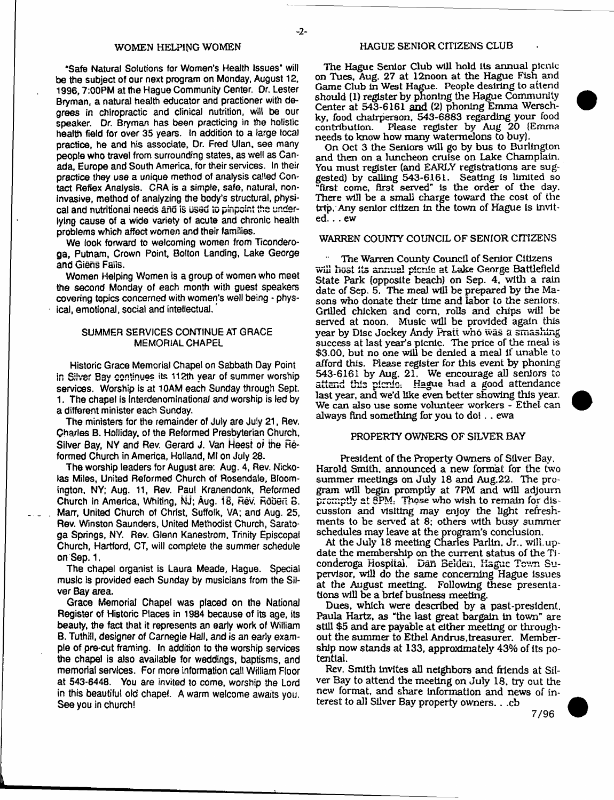"Safe Natural Solutions for Women's Health Issues" will be the subject of our next program on Monday, August 12, 1996,7:00PM at the Hague Community Center. Or. Lester Bryman, a natural health educator and practioner with degrees in chiropractic and clinical nutrition, will be our speaker. Dr. Bryman has been practicing in the holistic health field for over 35 years. In addition to a large local practice, he and his associate, Dr. Fred Ulan, see many people who travel from surrounding states, as well as Canada, Europe and South America, for their services. In their practice they use a unique method of analysis called Contact Reflex Analysis. CRA is a simple, safe, natural, noninvasive, method of analyzing the body's structural, physical and nutritional needs and is used to pinpoint the underlying cause of a wide variety of acute and chronic health problems which affect women and their families.

We look forward to welcoming women from Ticonderoga, Putnam, Crown Point, Bolton Landing, Lake George and Giens Fails.

Women Helping Women is a group of women who meet the second Monday of each month with guest speakers covering topics concerned with women's well being - physical, emotional, social and intellectual.

# SUMMER SERVICES CONTINUE AT GRACE MEMORIAL CHAPEL

Historic Grace Memorial Chapel on Sabbath Day Point in Silver Bay continues its 112th year of summer worship services. Worship is at 10AM each Sunday through Sept. 1. The chapel is Interdenominational and worship is led by a different minister each Sunday.

The ministers for the remainder of July are July 21, Rev. Charles B. Holliday, of the Reformed Presbyterian Church, Silver Bay, NY and Rev. Gerard J. Van Heest of the Reformed Church in America, Holland, Mt on July 28.

The worship leaders for August are: Aug. 4, Rev. Nickolas Miles, United Reformed Church of Rosendale, Bloomington. NY; Aug. 11, Rev. Paul Kranendonk, Reformed Church in America, Whiting, Kij; Aug. 18, Rev. Robert B. Marr, United Church of Christ, Suffolk, VA; and Aug. 25, Rev. Winston Saunders, United Methodist Church, Saratoga Springs, NY. Rev. Glenn Kanestrom, Trinity Episcopal Church, Hartford, CT, will complete the summer schedule on Sep. 1.

The chapel organist is Laura Meade, Hague. Special music Is provided each Sunday by musicians from the Silver Bay area.

Grace Memorial Chapel was placed on the National Register of Historic Places in 1984 because of its age, its beauty, the fact that it represents an early work of Wiiliam B. Tuthill, designer of Carnegie Hall, and is an early example of pre-cut framing. In addition to the worship services the chapel is also available for weddings, baptisms, and memorial services. For more information call William Floor at 543-6448. You are invited to come, worship the Lord in this beautiful old chapel. A warm welcome awaits you. See you in church!

The Hague Senior Club will hold its annual picnic on Tues, Aug. 27 at 12noon at the Hague Fish and Game Club In West Hague. People desiring to attend should (1) register by phoning the Hague Community Center at 543-6161 and (2) phoning Emma Werschky, food chairperson, 543-6883 regarding your food Please register by Aug 20 (Emma needs to know how many watermelons to buy).

On Oct 3 the Seniors will go by bus to Burlington and then on a luncheon cruise on Lake Champlain. You must register (and EARLY registrations are suggested) by calling 543-6161. Seating is limited so "first come, first served" is the order of the day. There will be a small charge toward the cost of the trip. Any senior citizen In the town of Hague is invited. . . ew

# WARREN COUNTY COUNCIL OF SENIOR CITIZENS

The Warren County Council of Senior Citizens will host its annual picnic at Lake George Battlefield State Park (opposite beach) on Sep. 4, with a rain date of Sep. 5. The meal will be prepared by the Masons who donate their time and labor to the seniors. Grilled chicken and com, rolls and chips will be served at noon. Music will be provided again this year by Disc Jockey Andy Pratt who was a smashing success at last year's picnic. The price of the meal is \$3.00, but no one will be denied a meal if unable to afford this. Please register for this event by phoning 543-6161 by Aug. 21. We encourage all seniors to attend this picnic: Hague had a good attendance last year, and we'd like even better showing this year. We can also use some volunteer workers - Ethel can always find something for you to do! . . ewa

# PROPERTY OWNERS OF SILVER BAY

President of the Property Owners of Silver Bay. Harold Smith, announced a new format for the two summer meetings on July 18 and Aug.22. The program will begin promptly at 7PM and will adjourn promptly at 8PM. Those who wish to remain for discussion and visiting may enjoy the light refreshments to be served at 8; others with busy summer schedules may leave at the program's conclusion.

At the July 18 meeting Charles Parlln. jr.. will.update the membership on the current status of the Ti conderoga Hospital. Dan Belden, Hague Town Supervisor, will do the same concerning Hague issues at the August meeting. Following these presentations will be a brief business meeting.

Dues, which were described by a past-president. Paula Hartz, as "the last great bargain in town" are still \$5 and are payable at either meeting or throughout the summer to Ethel Andrus,treasurer. Membership now stands at 133, approximately 43% of its potential.

Rev. Smith invites all neighbors and friends at Silver Bay to attend the meeting on July 18, try out the new format, and share information and news of interest to all Sliver Bay property owners. . .cb

7/96

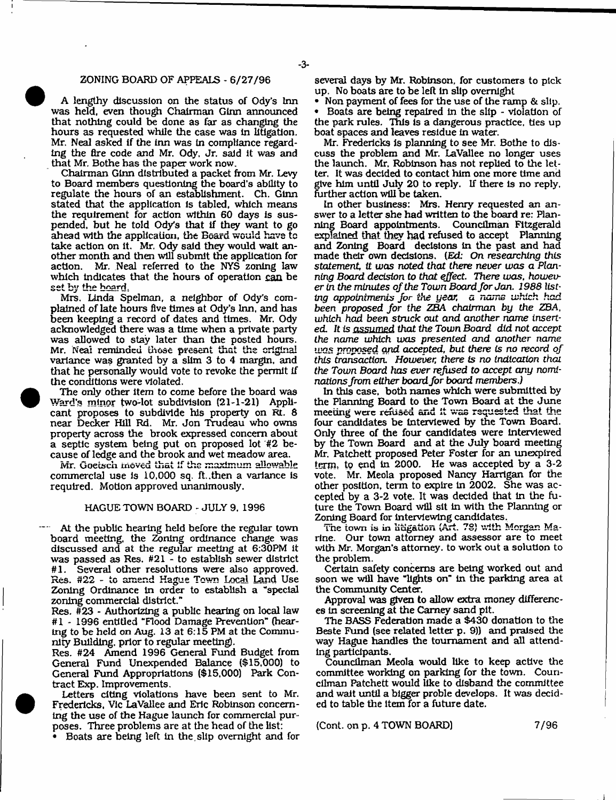### ZONING BOARD OF APPEALS - 6/27/96

A lengthy discussion on the status of Ody's Inn was held, even though Chairman Ginn announced that nothing could be done as far as changing the hours as requested while the case was in litigation. Mr. Neal asked If the inn was In compliance regarding the fire code and Mr. Ody. Jr. said it was and that Mr. Bothe has the paper work now.

Chairman Ginn distributed a packet from Mr. Levy to Board members questioning the board's ability to regulate the hours of an establishment. Ch. Ginn stated that the application is tabled, which means the requirement for action within 60 days is suspended, but he told Ody's that if they want to go ahead with the application, the Beard would have to take action on It, Mr. Ody said they would wait another month and then will submit the application for action. Mr. Neal referred to the NYS zoning law which indicates that the hours of operation can be set by the board.

Mrs. Linda Spelman, a neighbor of Ody's complained of late hours five times at Ody's Inn, and has been keeping a record of dates and times. Mr. Ody acknowledged there was a time when a private party was allowed to stay later than the posted hours. Mr. Neai reminded those present that the original variance was granted by a slim 3 to 4 margin, and that he personally would vote to revoke the permit if the conditions were violated.

The only other item to come before the board was Ward's minor two-lot subdivision (21-1-21) Applicant proposes to subdivide his property on Rt. 6 near Decker Hill Rd. Mr. Jon Trudeau who owns property across the brook expressed concern about a septic system being put on proposed lot #2 because of ledge and the brook and wet meadow area.

Mr. Goetech moved that if the maximum allowable commercial use is 10,000 sq. ft. .then a variance Is required. Motion approved unanimously.

### HAGUE TOWN BOARD - JULY 9, 1996

At the public hearing held before the regular town board meeting, the Zoning ordinance change was discussed and at the regular meeting at 6:30PM it was passed as Res. #21 - to establish sewer district #1. Several other resolutions were also approved. Res. #22 - to amend Hague Town Local Land Use Zoning Ordinance In order to establish a ''special zoning commercial district."

Res. #23 - Authorizing a public hearing on local law #1 - 1996 entitled "Flood Damage Prevention" (hearing to be held on Aug. 13 at 6:15 PM at the Community Building, prior to regular meeting).

Res. #24 Amend 1996 General Fund Budget from General Fund Unexpended Balance (\$15,000) to General Fund Appropriations (\$15,000) Park Contract Exp. Improvements.

Letters citing violations have been sent to Mr. Fredericks. Vic LaVallee and Eric Robinson concerning the use of the Hague launch for commercial purposes. Three problems are at the head of the list:

\* Boats are being left in the.slip overnight and for

several days by Mr. Robinson, for customers to pick up. No boats are to be left in slip overnight

• Non payment of fees for the use of the ramp & slip. • Boats are being repaired In the slip - violation of the park rules. This is a dangerous practice, ties up boat spaces and leaves residue in water.

Mr. Fredericks is planning to see Mr. Bothe to discuss the problem and Mr. LaVallee no longer uses the launch. Mr, Robinson has not replied to the letter, It was decided to contact him one more time and give him until July 20 to reply. If there is no reply, further action will be taken.

In other business: Mrs. Henry requested an answer to a letter she had written to the board re: Planning Board appointments. Councilman Fitzgerald explained that they had refused to accept Planning and Zoning Board decisions In the past and had made their own decisions. *[Ed: On researching this statement. It was noted that there never was a Planning* Board *decision to that effect. There was. however in the minutes of the Town Board for Jan. 1988 listing appointments for the year, a name which had been proposed for the ZBA chairman by the* ZBA, *which had been struck out and another* name inserted. ft is *assumed that the Town Board did not accept the name which was presented and another* name IL'QS *proposed and accepted, but there is no record of this transaction. However, there* is *no indication that the Town Board has ever refused to accept any nominations from either board for board members.)*

In this case, both names which were submitted by the Planning Board to the Town Board at the June meeting were refused and It was requested that the four candidates be Interviewed by the Town Board. Only three of the four candidates were Interviewed by the Town Board and at the July board meeting Mr. Patchett proposed Peter Foster for an unexpired term, to end in 2000. He was accepted by a 3-2 vote. Mr. Meola proposed Nancy Harrtgan for the other position, term to expire In 2002. She was accepted by a 3-2 vote. It was decided that In the future the Town Board will sit in with the Planning or Zoning Board for interviewing candidates.

The town is in litigation (Art. 7S) with Morgan Marine. Our town attorney and assessor are to meet with Mr. Morgan's attorney, to work out a solution to the problem.

Certain safety concerns are being worked out and soon we will have "lights on" in the parking area at the Community Center.

Approval was given to allow extra money differences In screening at the Carney sand pit.

The BASS Federation made a \$430 donation to the Beste Fund (see related letter p. 9)) and praised the way Hague handles the tournament and all attending participants.

Councilman Meola would like to keep active the committee working on parking for the town. Councilman Patchett would like to disband the committee and wait until a bigger proble develops. It was decided to table the item for a future date.

(Cont. on p. 4 TOWN BOARD) 7/96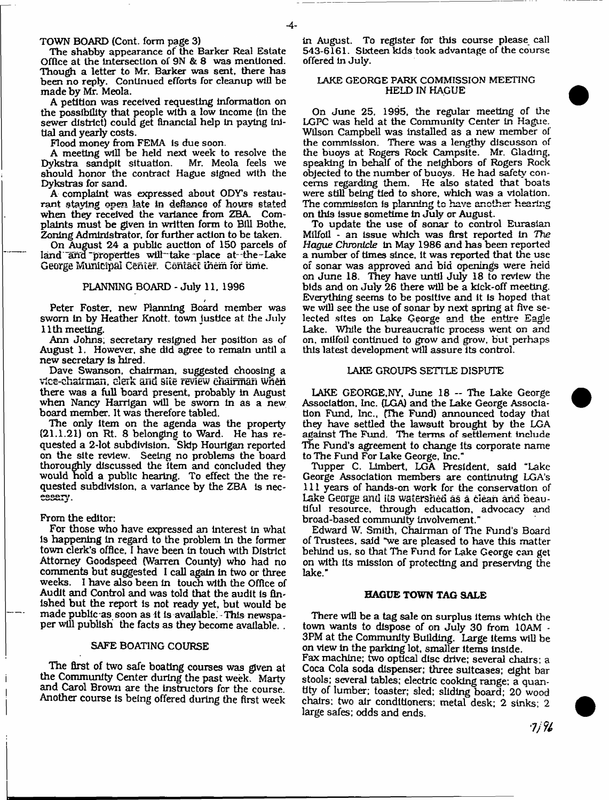TOWN BOARD (Cont. form page 3)

The shabby appearance of the Barker Real Estate Office at the Intersection of 9N & 8 was mentioned. Though a letter to Mr. Barker was sent, there has been no reply. Continued efforts for cleanup will be made by Mr. Meola.

A petition was received requesting information on the possibility that people with a low income (in the sewer district) could get financial help in paying Initial and yearly costs.

Flood money from FEMA is due soon.

A meeting will be held next week to resolve the<br>ykstra sandpit situation. Mr. Meola feels we Dykstra sandpit situation. should honor the contract Hague signed with the Dykstras for sand.

A complaint was expressed about ODY'S restaurant staying open late in defiance of hours stated when they received the variance from ZBA. Complaints must be given in written form to Bill Bothe, Zoning Administrator, for further action to be taken.

On August 24 a public auction of 150 parcels of land and properties will take place at-the-Lake George Municipal center. Contact them for time.

# PLANNING BOARD - July 11, 1996

Peter Foster, new Planning Board member was sworn in by Heather Knott, town justice at the July 11th meeting.

Ann Johns; secretary resigned her position as of August 1. However, she did agree to remain until a new secretary is hired.

Dave Swanson, chairman, suggested choosing a vlCc-chsirmsn, clerk and site review chairman when there was a full board present, probably in August when Nancy Harrigan will be sworn in as a new board member. It was therefore tabled.

The only item on the agenda was the property (21.1.21) on Rt. 8 belonging to Ward. He has requested a 2-lot subdivision. Skip Hourigan reported on the site review. Seeing no problems the board thoroughly discussed the item and concluded they would hold a public hearing. To effect the the requested subdivision, a variance by the ZBA is nec-<br>essary.

### From the editor:

For those who have expressed an interest in what is happening in regard to the problem In the former town clerk's office, I have been in touch with District Attorney Goodspeed (Warren County) who had no comments but suggested 1 call again in two or three weeks. I have also been in touch with the Office of Audit and Control and was told that the audit is finished but the report is not ready yet, but would be made public as soon as it is available. This newspaper will publish the facts as they become available. .

### SAFE BOATING COURSE

The first of two safe boating courses was given at the Community Center during the past week. Marty and Carol Brown are the instructors for the course. Another course Is being offered during the first week

in August. To register for this course please call 543-6161. Sixteen kids took advantage of the course offered In July.

# LAKE GEORGE PARK COMMISSION MEETING HELD IN HAGUE

On June 25. 1995, the regular meeting of the LGPC was held at the Community Center in Hague. Wilson Campbell was installed as a new member of the commission. There was a lengthy discusson of the buoys at Rogers Rock Campsite. Mr. Glading, speaking in behalf of the neighbors of Rogers Rock objected to the number of buoys. He had safety concerns regarding them. He also stated that boats were still being tied to shore, which was a violation. The commission is planning to have another hearing on this Issue sometime In July or August.

To update the use of sonar to control Eurasian Milfoil - an Issue which was first reported In *The Hague Chronicle* In May 1986 and has been reported a number of times since, it was reported that the use of sonar was approved and bid openings were held on June 18. They have until July 18 to review the bids and on July 26 there will be a kick-off meeting. Everything seems to be positive and it is hoped that we will see the use of sonar by next spring at five selected sites on Lake George and the entire Eagle Lake. While the bureaucratic process went on and on. milfoil continued to grow and grow, but perhaps this latest development will assure its control.

### LAKE GROUPS SETTLE DISPUTE

LAKE GEORGE,NY, June 18 — The Lake George Association, Inc. (LGA) and the Lake George Association Fund, Inc., (The Fund) announced today that they have settled the lawsuit brought by the LGA against The Fund. The terms of settlement include The Fund's agreement to change its corporate name to The Fund For Lake George, Inc."

Tupper C. Limbert. LGA President, said "Lake George Association members are continuing LGA's 111 years of hands-on work for the conservation of Lake George anti its watershed as a clean and beautiful resource, through education, advocacy and broad-based community Involvement."

Edward W. Smith, Chairman of The Fund's Board of Trustees, said "we are pleased to have this matter behind us. so that The Fund for Lake George can get on with its mission of protecting and preserving the lake."

### **HAGUE TOWN TAG SALE**

There will be a tag sale on surplus Items which the town wants to dispose of on July 30 from 10AM - 3PM at the Community Building. Large Items will be on view in the parking lot, smaller Items Inside.

Fax machine: two optical disc drive; several chairs: a Coca Cola soda dispenser; three suitcases; eight bar stools; several tables; electric cooking range; a quantity of lumber; toaster; sled; sliding board; 20 wood chairs; two air conditioners; metal desk; 2 sinks: 2 large safes; odds and ends.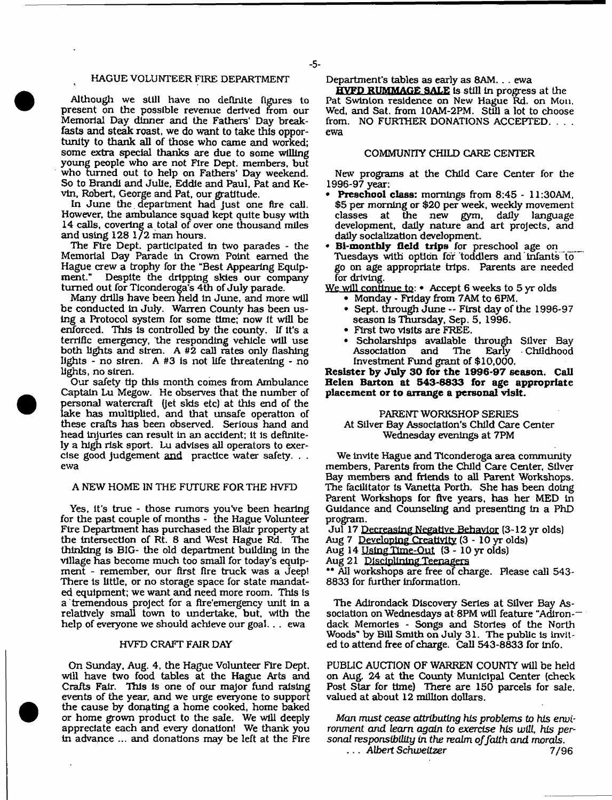# HAGUE VOLUNTEER FIRE DEPARTMENT

Although we still have no definite figures to present on the possible revenue derived from our Memorial Day dinner and the Fathers' Day breakfasts and steak roast, we do want to take this opportunity to thank all of those who came and worked; some extra special thanks are due to some willing young people who are not Fire Dept, members, but who turned out to help on Fathers' Day weekend. So to Brandi and Julie, Eddie and Paul, Pat and Kevin, Robert, George and Pat, our gratitude.

In June the department had just one fire call. However, the ambulance squad kept quite busy with 14 calls, covering a total of over one thousand miles and using 128 1/2 man hours.

The Fire Dept, participated in two parades - the Memorial Day Parade In Crown Point earned the Hague crew a trophy for the "Best Appearing Equip-Despite the dripping skies our company turned out for Tlconderoga's 4th of July parade.

Many drills have been held in June, and more will be conducted in July. Warren County has been using a Protocol system for some time; now it will be enforced. This is controlled by the county. If It's a terrific emergency, the responding vehicle will use both lights and siren. A #2 call rates only flashing lights - no siren. A #3 is not life threatening - no lights, no siren.

Our safety tip this month comes from Ambulance Captain Lu Megow. He observes that the number of personal watercraft (jet skis etc) at this end of the lake has multiplied, and that unsafe operation of these crafts has been observed. Serious hand and head injuries can result in an accident; it Is definitely a high risk sport. Lu advises all operators to exercise good judgement and practice water safety. . . ewa

# A NEW HOME IN THE FUTURE FOR THE HVFD

Yes, it's true - those rumors you've been hearing for the past couple of months - the Hague Volunteer Fire Department has purchased the Blair property at the intersection of Rt. 8 and West Hague Rd. The thinking Is BIG- the old department building in the village has become much too small for today's equipment - remember, our first fire truck was a Jeep! There is little, or no storage space for state mandated equipment; we want and need more room. This is a tremendous project for a fire'emergency unit in a relatively small town to undertake, but, with the help of everyone we should achieve our goal. . . ewa

# HVFD CRAFT FAIR DAY

On Sunday, Aug. 4, the Hague Volunteer Fire Dept, will have two food tables at the Hague Arts and Crafts Fatr. This is one of our major fund raising events of the year, and we urge everyone to support the cause by donating a home cooked, home baked or home grown product to the sale. We will deeply appreciate each and every donation! We thank you in advance ... and donations may be left at the Fire Department's tables as early as 8AM.. . ewa

**HVFD RUMMAGE SALE** is still in progress at the Pat Swinton residence on New Hague Rd. on Mon, Wed, and Sat. from 10AM-2PM. Still a lot to choose from. NO FURTHER DONATIONS ACCEPTED. . . . ewa

# COMMUNITY CHILD CARE CENTER

New programs at the Child Care Center for the 1996-97 year;

- **\* Preschool class:** mornings from 8:45 11:30AM, \$5 per morning or \$20 per week, weekly movement classes at the new gym, daily language development, daily nature and art projects, and daily socialization development.
- \* **Bi-monthly field trips** for preschool age on \_\_\_ Tuesdays with option for Toddlers and infants to go on age appropriate trips. Parents are needed for driving.

We will continue to: • Accept 6 weeks to 5 yr olds

- Monday Friday from 7AM to 6PM.
- Sept. through June First day of the 1996-97 season Is Thursday, Sep. 5, 1996.
- First two visits are FREE.
- Scholarships available through Silver Bay Association and The Early Childhood Investment Fund grant of \$10,000.

**Resister by July 30 for the 1996-97 season. Call Helen Barton at 543-8833 for age appropriate placement or to arrange a personal visit.**

PARENT WORKSHOP SERIES At Silver Bay Association's Child Care Center Wednesday evenings at 7PM

We invite Hague and Ticonderoga area community members, Parents from the Child Care Center, Silver Bay members and friends to all Parent Workshops. The facilitator is Vanetta Porth. She has been doing Parent Workshops for five years, has her MED in Guidance and Counseling and presenting In a PhD program.

Jul 17 Decreasing Negative Behavior (3-12 yr olds) Aug 7 Developing Creativity (3 - 10 yr olds)

Aug 14 Using Time-Out (3 - 10 yr olds)

Aug 21 **Disciplining Teenagers**

•\* All workshops are free of charge. Please call 543- 8833 for further information.

The Adirondack Discovery Series at Silver Bay Association on Wednesdays at 8PM will feature "Adiron-dack Memories - Songs and Stories of the North Woods'\* by Bill Smith on July 31. The public is invited to attend free of charge. Call 543-8833 for Info.

PUBLIC AUCTION OF WARREN COUNTY will be held on Aug. 24 at the County Municipal Center (check Post Star for time) There are 150 parcels for sale, valued at about 12 million dollars.

*Man must cease attributing his problems to his envi*ronment and learn again to exercise his will, his per*sonal responsibility in the realm of faith and morals. . . . Albert Schweitzer* 7/96

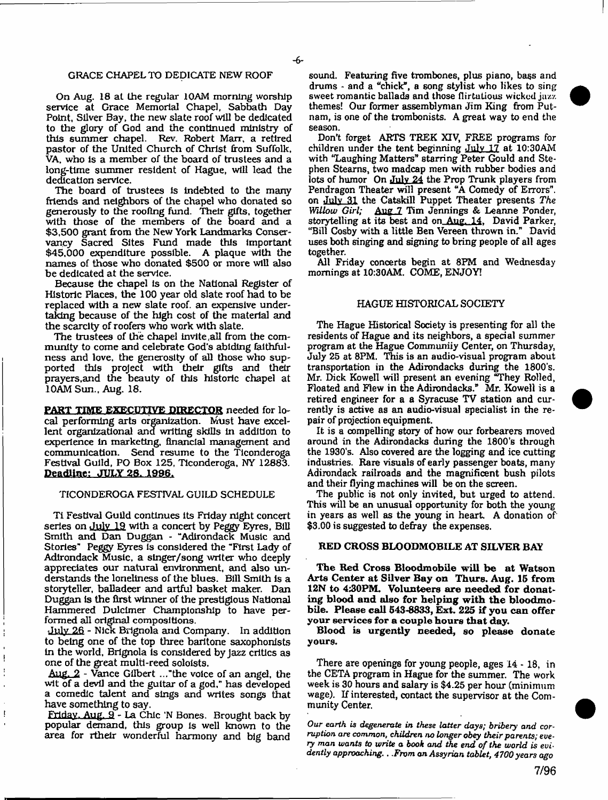### GRACE CHAPEL TO DEDICATE NEW ROOF

On Aug. 18 at the regular 10AM morning worship service at Grace Memorial Chapel, Sabbath Day Point, Silver Bay, the new slate roof will be dedicated to the glory of God and the continued ministry of this summer chapel. Rev. Robert Marr, a retired pastor of the United Church of Christ from Suffolk, VA, who is a member of the board of trustees and a long-time summer resident of Hague, will lead the dedication service.

The board of trustees is indebted to the many friends and neighbors of the chapel who donated so generously to the roofing fund. Their gifts, together with those of the members of the board and a \$3,500 grant from the New York Landmarks Conservancy Sacred Sites Fund made this important \$45,000 expenditure possible. A plaque with the names of those who donated \$500 or more will also be dedicated at the service.

Because the chapel is on the National Register of Historic Places, the 100 year old slate roof had to be replaced with a new slate roof, an expensive undertaking because of the high cost of the material and the scarcity of roofers who work with slate.

The trustees of the chapel invite all from the community to come and celebrate God's abiding faithfulness and love, the generosity of all those who supported this project with their gifts and their prayers.and the beauty of this historic chapel at 10AM Sun., Aug. 18.

**PART TIME EXECUTIVE DIRECTOR** needed for local performing arts organization. Must have excellent organizational and writing skills In addition to experience in marketing, financial management and communication. Send resume to the Ticonderoga Festival Guild, PO Box 125, Ticonderoga, NY 12883. **Deadline: JULY 28. 1996.** 

### TICONDEROGA FESTIVAL GUILD SCHEDULE

Tl Festival Guild continues its Friday night concert series on July 19 with a concert by Peggy Eyres, Bill Smith and Dan Duggan - "Adirondack Music and Stories" Peggy Eyres Is considered the "First Lady of Adirondack Music, a slnger/song writer who deeply appreciates our natural environment, and also understands the loneliness of the blues. Bill Smith is a storyteller, balladeer and artful basket maker. Dan Duggan is the first winner of the prestigious National Hammered Dulcimer Championship to have performed all original compositions.

July 26 - Nick Brignola and Company. In addition to being one of the top three baritone saxophonists in the world, Brignola is considered by jazz critics as one of the great multi-reed soloists.

Aug. 2 - Vance Gilbert ..."the voice of an angel, the wit of a devil and the guitar of a god," has developed a comedic talent and sings and writes songs that have something to say.

Friday. Aug. 9 - La Chic \*N Bones. Brought back by popular demand, this group is well known to the area for rthelr wonderful harmony and big band sound. Featuring five trombones, plus piano, bass and drums - and a "chick", a song stylist who likes to sing sweet romantic ballads and those flirtatious wicked jazz. themes! Our former assemblyman Jim King from Putnam, is one of the trombonists. A great way to end the season.

Don't forget ARTS TREK XIV, FREE programs for children under the tent beginning July 17 at 10:30AM with "Laughing Matters" starring Peter Gould and Stephen Steams, two madcap men with rubber bodies and lots of humor On July 24 the Prop Trunk players from Pendragon Theater will present "A Comedy of Errors", on July 31 the Catskill Puppet Theater presents *The* Aug 7 Tim Jennings & Leanne Ponder, storytelling at its best and on Aug. 14. David Parker, "Bill Cosby with a little Ben Vereen thrown in." David uses both singing and signing to bring people of all ages together.

All Friday concerts begin at 8FM and Wednesday mornings at 10:30AM. COME, ENJOY!

#### HAGUE HISTORICAL SOCIETY

The Hague Historical Society is presenting for all the residents of Hague and its neighbors, a special summer program at the Hague Communiiy Center, on Thursday, July 25 at 8PM. This is an audio-visual program about transportation in the Adirondacks during the 1800's. Mr. Dick Kowell will present an evening "They Rolled, Floated and Flew in the Adirondacks." Mr. Kowell is a retired engineer for a a Syracuse TV station and currently is active as an audio-visual specialist in the repair of projection equipment.

It is a compelling story of how our forbearers moved around in the Adirondacks during the 1800's through the 1930's. Also covered are the logging and ice cutting industries. Rare visuals of early passenger boats, many Adirondack railroads and the magnificent bush pilots and their flying machines will be on the screen.

The public is not only invited, but urged to attend. This will be an unusual opportunity for both the young in years as well as the young in heart. A donation of \$3.00 is suggested to defray the expenses.

## RED CROSS BLOODMOBILE AT SILVER BAY

The Red Cross Bloodmobile will be at Watson Arts Center at Silver Bay on Thurs. Aug. 15 from 12N to 4:30PM. Volunteers are needed for donating blood and also for helping w ith the bloodmobile. Please call 543-8833, Ext. 225 if you can offer your services for a couple hours that day.

Blood is urgently needed, so please donate yours.

There are openings for young people, ages 14 - 18, in the CETA program in Hague for the summer. The work week is 30 hours and salary is \$4.25 per hour (minimum wage). If interested, contact the supervisor at the Community Center.

*Our earth is degenerate in these latter days; bribery and corruption are common*, *children no longer obey their parents;* every man wants to write a book and the end of the world is evi*dently approaching.*. .From *an Assyrian tablet; 4700 years ago*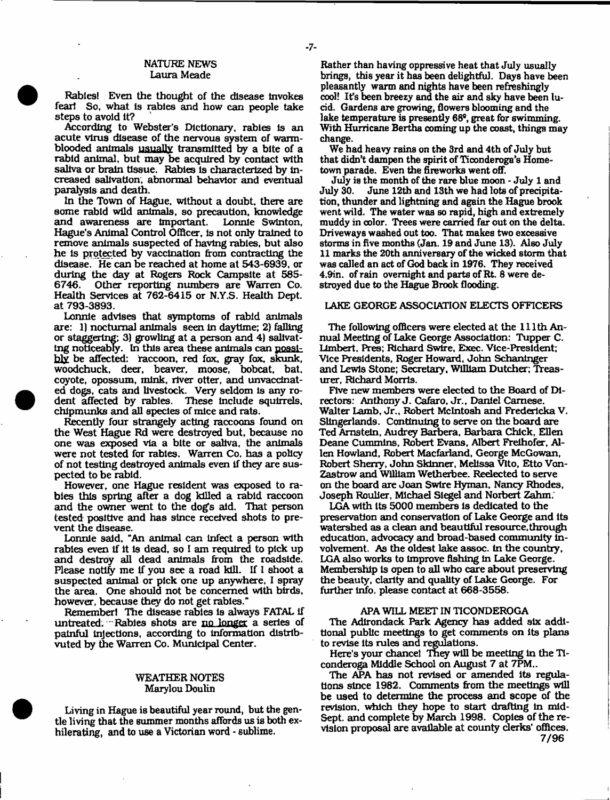## NATURE NEWS Laura Meade

Rabies! Even the thought of the disease Invokes fear! So, what Is rabies and how can people take steps to avoid it?

According to Webster's Dictionary, rabies Is an acute virus disease of the nervous system of warmblooded animals usually transmitted by a bite of a rabid animal, but may be acquired by contact with saliva or brain tissue. Rabies is characterized by Increased salivation, abnormal behavior and eventual paralysis and death.

In the Town of Hague, without a doubt, there are some rabid wild animals, so precaution, knowledge and awareness are Important. Lonnie Swinton, Hague's Animal Control Officer, Is not only trained to remove animals suspected of having rabies, but also he is protected by vaccination from contracting the disease. He can be reached at home at 543-6939, or during the day at Rogers Rock Campsite at 585-<br>6746. Other reporting numbers are Warren Co. 6746. Other reporting numbers are Warren Co. Health Services at 762-6415 or N.Y.S. Health Dept, at 793-3893.

Lonnie advises that symptoms of rabid animals are: 1) nocturnal animals seen In daytime; 2) falling or staggering; 3) growling at a person and 4) salivating noticeably. In this area these animals can possibly be affected; raccoon, red fox, gray fox. skunk, woodchuck, deer, beaver, moose, bobcat, bat. coyote, opossum, mink, river otter, and unvacdnated dogs, cats and livestock. Very seldom is any rodent affected by rabies. These Include squirrels, chipmunks and all species of mice and rats.

Recently four strangely acting raccoons found on the West Hague Rd were destroyed but, because no one was exposed via a bite or saliva, the animals were not tested for rabies. Warren Co. has a policy of not testing destroyed animals even if they are suspected to be rabid.

However, one Hague resident was exposed to rabies this spring after a dog killed a rabid raccoon and the owner went to the dogs aid. That person tested positive and has since received shots to prevent the disease.

Lonnie said, "An animal can Infect a person with rabies even If it Is dead, so I am required to pick up and destroy all dead animals from the roadside. Please notify me If you see a road kill. If I shoot a suspected animal or pick one up anywhere, I spray the area. One should not be concerned with birds, however, because they do not get rabies."

Remember! The disease rabies is always FATAL If untreated. Rabies shots are no longer a series of painful injections, according to information dlstrlbvuted by the Warren Co. Municipal Center.

# WEATHER NOTES Marylou Doulin

Living in Hague is beautiful year round, but the gentle living that the summer months affords us is both exhilerating, and to use a Victorian word - sublime.

Rather than having oppressive heat that July usually brings, this year it has been delightful. Days have been pleasantly warm and nights have been refreshingly cool! Its been breezy and the air and sky have been lucid. Gardens are growing, flowers blooming and the lake temperature is presently 68°, great for swimming. With Hurricane Bertha coming up the coast, things may change.

We had heavy rains on the 3rd and 4th of July but that didn't dampen the spirit of Ticonderoga's Hometown parade. Even the fireworks went off.

July is the month of the rare blue moon - July 1 and June 12th and 13th we had lots of precipitation, thunder and lightning and again the Hague brook went wild. The water was so rapid, high and extremely muddy in color. Trees were carried far out on the delta. Driveways washed out too. That makes two excessive storms in five months (Jan. 19 and June 13). Also July 11 marks the 20th anniversary of the wicked storm that was called an act of God back in 1976. They received 4.9in. of rain overnight and parts of Rt. 8 were destroyed due to the Hague Brook flooding.

# LAKE GEORGE ASSOCIATION ELECTS OFFICERS

The following officers were elected at the 111th Annual Meeting of Lake George Association: Tupper C. Llmbert. Pres; Richard Swire, Exec. Vice-President; Vice Presidents, Roger Howard, John Schaninger and Lewis Stone; Secretary, William Dutcher; Treasurer, Richard Morris.

Five new members were elected to the Board of Directors: Anthony J. Cafaro, Jr., Daniel Camese. Walter Lamb, Jr., Robert McIntosh and Fredericka V. Slingerlands. Continuing to serve on the board are Ted Amstein, Audrey Barbera, Barbara Chick, Ellen Deane Cummins, Robert Evans, Albert Frelhofer, Allen Howland, Robert Macfarland, George McGowan, Robert Sherry, John Skinner, Melissa Vito, Etto Von-Zastrow and William Wetherbee. Reelected to serve on the board are Joan Swire Hyman, Nancy Rhodes, Joseph Roulier, Michael Siegel and Norbert Zahm.

LGA with Its 5000 members Is dedicated to the preservation and conservation of Lake George and its watershed as a clean and beautiful resource, through education, advocacy and broad-based community Involvement, As the oldest lake assoc, in the country, LGA also works to Improve fishing In Lake George. Membership Is open to all who care about preserving the beauty, clarity and quality of Lake George. For further info, please contact at 668-3558.

#### APA WILL MEET IN TICONDEROGA

The Adirondack Park Agency has added six additional public meetings to get comments on Its plans to revise its rules and regulations.

Here's your chance! They will be meeting in the Ticonderoga Middle School on August 7 at 7PM..

The APA has not revised or amended Its regulations since 1982. Comments from the meetings will be used to determine the process and scope of the revision, which they hope to start drafting in mid-Sept. and complete by March 1998. Copies of the revision proposal are available at county clerks' offices. 7/96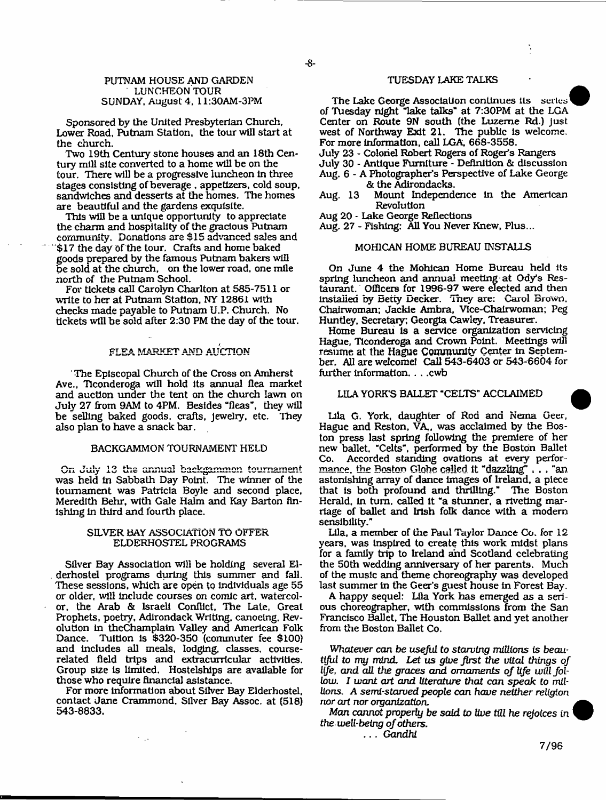# PUTNAM HOUSE AND GARDEN LUNCHEON TOUR SUNDAY, August 4, 11:30AM-3PM

Sponsored by the United Presbyterian Church, Lower Road, Putnam Station, the tour will start at the church.

Two 19th Century stone houses and an 18th Century mill site converted to a home will be on the tour. There will be a progressive luncheon in three stages consisting of beverage . appetizers, cold soup, sandwiches and desserts at the homes. The homes are beautiful and the gardens exquisite.

This will be a unique opportunity to appreciate the charm and hospitality of the gracious Putnam community. Donations are \$15 advanced sales and \$17 the day of the tour. Crafts and home baked goods prepared by the famous Putnam bakers will be sold at the church, on the lower road, one mile north of the Putnam School,

For tickets call Carolyn Charlton at 585-7511 or write to her at Putnam Station, NY 12861 with checks made payable to Putnam U.P. Church. No tickets will be sold after 2:30 PM the day of the tour.

### FLEA MARKET AND AUCTION

The Episcopal Church of the Cross on Amherst Ave., Ticonderoga will hold its annual flea market and auction under the tent on the church lawn on July 27 from 9AM to 4PM. Besides "fleas'', they will be selling baked goods, crafts, jewelry, etc. They also plan to have a snack bar.

# BACKGAMMON TOURNAMENT HELD

On July 13 ths annual backgammon tournament was held in Sabbath Day Point. The winner of the tournament was Patricia Boyle and second place, Meredith Behr, with Gale Halm and Kay Barton finishing in third and fourth place.

## SILVER BAY ASSOCIATION TO OFFER ELDERHOSTEL PROGRAMS

Silver Bay Association will be holding several Elderhostel programs during this summer and fall. These sessions, which are open to individuals age 55 or older, will include courses on comic art. watercolor, the Arab & Israeli Conflict, The Late, Great Prophets, poetry, Adirondack Writing, canoeing, Revolution in theChamplain Valley and American Folk Dance. Tuition is \$320-350 (commuter fee \$100) and includes all meals, lodging, classes, courserelated field trips and extracurricular activities. Group size is limited. Hostelships are available for those who require financial asistance.

For more information about Silver Bay Elderhostel, contact Jane Crammond, Silver Bay Assoc, at (518) 543-8833.

# TUESDAY LAKE TALKS

The Lake George Association continues its series<sup>1</sup> of Tuesday night "lake talks'\* at 7:30PM at the LGA Center on Route 9N south (the Luzerne Rd.) just west of Northway Exit 21. The public is welcome. For more information, call LGA, 668-3558.

July 23 - Colonel Robert Rogers of Roger's Rangers

- July 30 Antique Furniture Definition & discussion
- Aug. 6 A Photographer's Perspective of Lake George & the Adirondacks.
- Aug. 13 Mount Independence in the American Revolution
- Aug 20 Lake George Reflections

Aug. 27 - Fishing: All You Never Knew, Plus...

### MOHICAN HOME BUREAU INSTALLS

On June 4 the Mohican Home Bureau held its spring luncheon and annual meeting at Ody's Restaurant. Officers for 1996-97 were elected and then installed by Betty Decker, iney are: Carol Brown, Chairwoman; Jackie Ambra, Vice-Chairwoman; Peg Huntley, Secretary; Georgia Cawley. Treasurer.

Home Bureau is a service organization servicing Hague, Ticonderoga and Crown Point. Meetings will resume at the Hague Community Center in September. All are welcome! Call 543-6403 or 543-6604 for further information. . . . cwb

# LILA YORK'S BALLET "CELTS'' ACCLAIMED

Lila G. York, daughter of Rod and Nema Geer, Hague and Reston, VA,, was acclaimed by the Boston press last spring following the premiere of her new ballet. "Celts", performed by the Boston Ballet Co. Accorded standing ovations at every performance. the Boston Globe called it **"dazzling",** , , "an astonishing array of dance images of Ireland, a piece that is both profound and thrilling." The Boston Herald, In turn, called It "a stunner, a riveting marriage of ballet and Irish folk dance with a modem sensibility."

Lila, a member of lire Paul Taylor Dance Co. for 12 years, was Inspired to create this work midst plans for a family trip to Ireland and Scotland celebrating the 50th wedding anniversary of her parents. Much of the music and theme choreography was developed last summer in the Geer's guest house in Forest Bay.

A happy sequel: Lila York has emerged as a serious choreographer, with commissions from the San Francisco Ballet, The Houston Ballet and yet another from the Boston Ballet Co,

*Whatever can he useful to starving millions is beautiful to my mind. Let* us *give first the vital things of* life, and all the graces and ornaments of *life* will fol*low. I want art and literature that can speak to millions, A semi-starved people can have neither religion nor art nor organization.*

*Man cannot* property *be said to live till he rejoices in* the well-being of others.

. . . *Gandhi*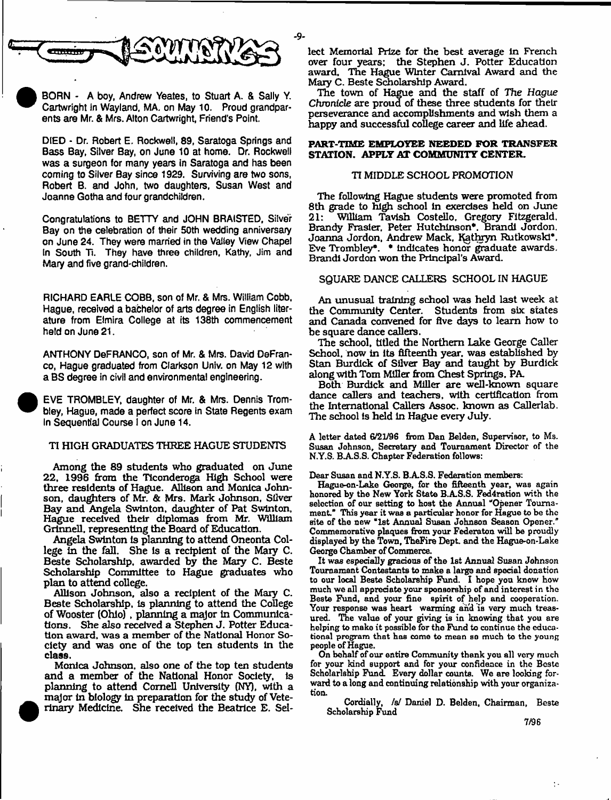

BORN - A boy, Andrew Yeates, to Stuart A. & Sally Y, Cartwright in Wayland, MA. on May 10. Proud grandparents are Mr. & Mrs. Alton Cartwright, Friend's Point.

DIED - Dr. Robert E. Rockwell, 89, Saratoga Springs and Bass Bay, Silver Bay, on June 10 at home. Dr. Rockwell was a surgeon for many years in Saratoga and has been coming to Silver Bay since 1929. Surviving are two sons, Robert B. and John, two daughters, Susan West and Joanne Gotha and four grandchildren.

Congratulations to BETTY and JOHN BRAISTED, Silver Bay on the celebration of their 50th wedding anniversary on June 24. They were married in the Valley View Chapel In South Ti. They have three children, Kathy, Jim and Mary and five grand-children.

RICHARD EARLE COBB, son of Mr. & Mrs. William Cobb. Hague, received a bachelor of arts degree in English literature from Elmira College at its 138th commencement held on June 21.

ANTHONY DeFRANCO, son of Mr. & Mrs. David DeFranco, Hague graduated from Clarkson Univ. on May 12 with a BS degree in civil and environmental engineering.

 EVE TROMBLEY, daughter of Mr. & Mrs. Dennis Trombley, Hague, made a perfect score in State Regents exam In Sequential Course I on June 14.

•

### TI HIGH GRADUATES THREE HAGUE STUDENTS

Among the 89 students who graduated on June 22, 1996 from the Ticonderoga High School were three residents of Hague. Allison and Monica Johnson, daughters of Mr. & Mrs. Mark Johnson, Silver Bay and Angela Swinton, daughter of Pat Swinton. Hague received their diplomas from Mr. William Grtnnell, representing the Board of Education.

Angela Swinton is planning to attend Oneonta College in the fall. She is a recipient of the Mary C. Beste Scholarship, awarded by the Mary C. Beste Scholarship Committee to Hague graduates who plan to attend college.

Allison Johnson, also a recipient of the Mary C. Beste Scholarship, is planning to attend the College of Wooster (Ohio) , planning a major in Communications. She also received a Stephen J. Potter Education award, was a member of the National Honor Society and was one of the top ten students in the class.

Monica Johnson, also one of the top ten students and a member of the National Honor Society, is planning to attend Cornell University (NY), with a major in biology in preparation for the study of Veterinaiy Medicine. She received the Beatrice E. Sellect Memorial Prize for the best average in French over four years; the Stephen J. Potter Education award. The Hague Winter Carnival Award and the Mary C. Beste Scholarship Award.

The town of Hague and the staff of *The Hague* Chronicle are proud of these three students for their perseverance and accomplishments and wish them a happy and successful college career and life ahead.

# **PART-TIME EMPLOYEE NEEDED FOR TRANSFER STATION. APPLY AT COMMUNITY CENTER.**

#### TI MIDDLE SCHOOL PROMOTION

The following Hague students were promoted from 8th grade to high school in exercises held on June 21: William Tavish Costello, Gregory Fitzgerald. Brandy Frasier, Peter Hutchinson\*. Brandi Jordon. Joanna Jordon, Andrew Mack, Kathryn Rutkowski\*, Eve Trombley\*. \* indicates honor graduate awards. Brandi Jordon won the Principal's Award.

### SQUARE DANCE CALLERS SCHOOL IN HAGUE

An unusual training school was held last week at the Community Center. Students from six states and Canada convened for five days to learn how to be square dance callers.

The school, titled the Northern Lake George Caller School, now in its fifteenth year, was established by Stan Burdick of Silver Bay and taught by Burdick along with Tom Miller from Chest Springs, PA

Both Burdick and Miller are well-known square dance callers and teachers, with certification from the International Callers Assoc, known as Callerlab. The school Is held in Hague every July.

A letter dated 6/21/96 from Dan Belden, Supervisor, to Ms. Susan Johnson, Secretary and Tournament Director of the N.Y.S. B.A.S.S. Chapter Federation follows:

Dear Susan and N.Y.S. B.A.S.S. Federation members:

Hague-on-Lake George, for the fifteenth year, was again honored by the New York State B.AS.S. Fed4ration with the selection of our setting to host the Annual "Opener Tournament." This year it was a particular honor for Hague to be the Bite of the new "1st Annual Susan Johnson Season Opener." Commemorative plaques from your Federaton will be proudly displayed by the Town, TheFire Dept and the Hague-on-Lake George Chamber of Commerce.

It was especially gracious of the 1st Annual Susan Johnson Tournament Contestants to make a large and special donation to our local Beste Scholarship Fund. I hope you know how much we all appreciate your sponsorship of and interest in the Beste Fund, and your fine spirit of help and cooperation. Your response was heart warming and is very much treasured. The value of your giving is in knowing that you are helping to make it possible for the Fund to continue the educational program that has come to mean so much to the young people of Hague.

On behalf of our entire Community thank you all very much for your kind support and for your confidence in the Beste Scholarlship Fund. Every dollar counts. We are looking forward to a long and continuing relationship with your organization.

Cordially, /s/ Daniel D. Belden, Chairman, Beste Scholarship Fund

 $\ddot{\phantom{a}}$